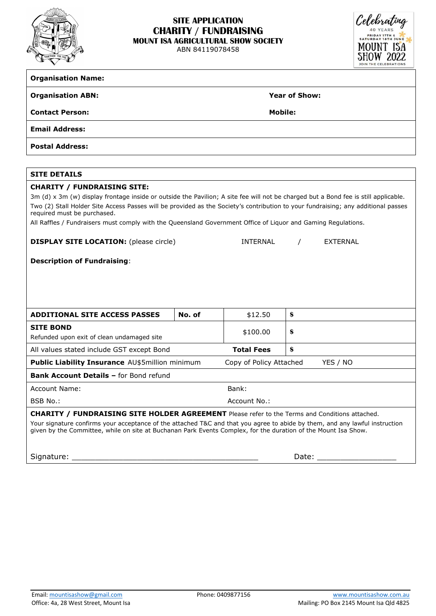

# **SITE APPLICATION CHARITY / FUNDRAISING MOUNT ISA AGRICULTURAL SHOW SOCIETY**

ABN 84119078458



## **Organisation Name:**

#### **Organisation ABN: Year of Show:**

**Contact Person: Mobile:**

**Email Address:**

**Postal Address:**

## **SITE DETAILS**

#### **CHARITY / FUNDRAISING SITE:**

3m (d) x 3m (w) display frontage inside or outside the Pavilion; A site fee will not be charged but a Bond fee is still applicable. Two (2) Stall Holder Site Access Passes will be provided as the Society's contribution to your fundraising; any additional passes required must be purchased.

All Raffles / Fundraisers must comply with the Queensland Government Office of Liquor and Gaming Regulations.

| <b>DISPLAY SITE LOCATION:</b> (please circle) |  |  |  |  |  |
|-----------------------------------------------|--|--|--|--|--|
|-----------------------------------------------|--|--|--|--|--|

## **Description of Fundraising**:

| <b>ADDITIONAL SITE ACCESS PASSES</b>                                                                                                                                                                                                                                     | No. of | \$12.50                 | \$       |  |  |  |
|--------------------------------------------------------------------------------------------------------------------------------------------------------------------------------------------------------------------------------------------------------------------------|--------|-------------------------|----------|--|--|--|
| <b>SITE BOND</b><br>Refunded upon exit of clean undamaged site                                                                                                                                                                                                           |        | \$100.00                | \$       |  |  |  |
| All values stated include GST except Bond                                                                                                                                                                                                                                |        | <b>Total Fees</b>       | S        |  |  |  |
| <b>Public Liability Insurance AU\$5million minimum</b>                                                                                                                                                                                                                   |        | Copy of Policy Attached | YES / NO |  |  |  |
| <b>Bank Account Details - for Bond refund</b>                                                                                                                                                                                                                            |        |                         |          |  |  |  |
| Account Name:                                                                                                                                                                                                                                                            |        | Bank:                   |          |  |  |  |
| BSB No.:                                                                                                                                                                                                                                                                 |        | Account No.:            |          |  |  |  |
| $\mathbf{A}$ i i a retev<br><u>стыр</u><br>CITE UALBER ACREEMENT BLACK AND THE RESIDENCE IN THE RESIDENCE OF A SECOND PROPERTY OF A SECOND PROPERTY OF A SECOND PROPERTY OF A SECOND PROPERTY OF A SECOND PROPERTY OF A SECOND PROPERTY OF A SECOND PROPERTY OF A SECOND |        |                         |          |  |  |  |

**CHARITY / FUNDRAISING SITE HOLDER AGREEMENT** Please refer to the Terms and Conditions attached.

Your signature confirms your acceptance of the attached T&C and that you agree to abide by them, and any lawful instruction given by the Committee, while on site at Buchanan Park Events Complex, for the duration of the Mount Isa Show.

Signature: \_\_\_\_\_\_\_\_\_\_\_\_\_\_\_\_\_\_\_\_\_\_\_\_\_\_\_\_\_\_\_\_\_\_\_\_\_\_\_\_ Date: \_\_\_\_\_\_\_\_\_\_\_\_\_\_\_\_\_

INTERNAL / EXTERNAL